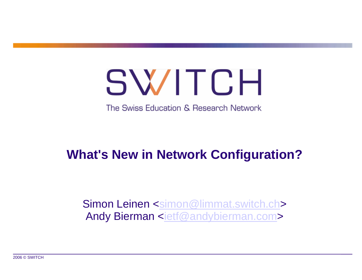# SWITCH

The Swiss Education & Research Network

#### **What's New in Network Configuration?**

Simon Leinen <[simon@limmat.switch.ch](mailto:simon@limmat.switch.ch)> Andy Bierman <[ietf@andybierman.com](mailto:ietf@andybierman.com)>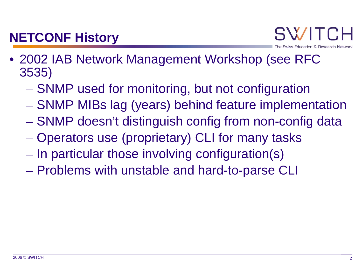# **NETCONF History**



- 2002 IAB Network Management Workshop (see RFC 3535)
	- **Hart Committee Committee** - SNMP used for monitoring, but not configuration
	- $\mathcal{L}_{\mathcal{A}}$ – SNMP MIBs lag (years) behind feature implementation
	- $\mathcal{L}_{\mathcal{A}}$ – SNMP doesn't distinguish config from non-config data
	- $\mathcal{L}_{\mathcal{A}}$ – Operators use (proprietary) CLI for many tasks
	- $\mathcal{L}_{\mathcal{A}}$  $-$  In particular those involving configuration(s)
	- $\mathcal{L}_{\mathcal{A}}$ Problems with unstable and hard-to-parse CLI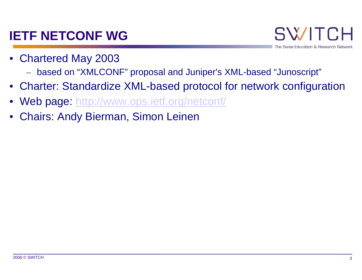#### **IETF NETCONF WG**

**SWITCH** Swiss Education & Research Network

- Chartered May 2003
	- based on "XMLCONF" proposal and Juniper's XML-based "Junoscript"
- Charter: Standardize XML-based protocol for network configuration
- Web page: <http://www.ops.ietf.org/netconf/>
- Chairs: Andy Bierman, Simon Leinen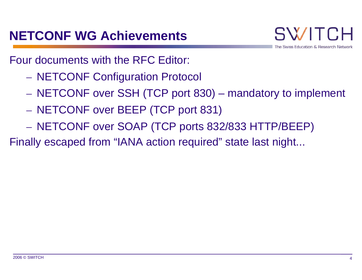Swiss Education & Research Network

Four documents with the RFC Editor:

- NETCONF Configuration Protocol
- NETCONF over SSH (TCP port 830) mandatory to implement
- $-$  NETCONF over BEEP (TCP port 831)
- $-$  NETCONF over SOAP (TCP ports 832/833 HTTP/BEEP)
- Finally escaped from "IANA action required" state last night...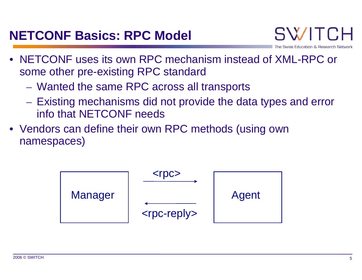#### **NETCONF Basics: RPC Model**



- • NETCONF uses its own RPC mechanism instead of XML-RPC or some other pre-existing RPC standard
	- Wanted the same RPC across all transports
	- $-$  Existing mechanisms did not provide the data types and error info that NETCONF needs
- Vendors can define their own RPC methods (using own namespaces)

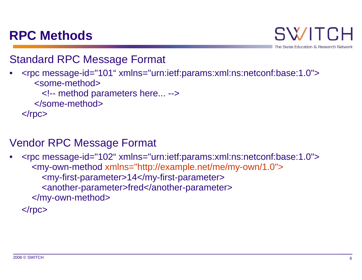#### **RPC Methods**

**SWITCH** he Swiss Education & Research Network

#### Standard RPC Message Format

• <rpc message-id="101" xmlns="urn:ietf:params:xml:ns:netconf:base:1.0"> <some-method>

<!-- method parameters here... -->

</some-method>

 $<$  $rpc$ 

#### Vendor RPC Message Format

• <rpc message-id="102" xmlns="urn:ietf:params:xml:ns:netconf:base:1.0"> <my-own-method xmlns="http://example.net/me/my-own/1.0"> <my-first-parameter>14</my-first-parameter> <another-parameter>fred</another-parameter> </my-own-method>

 $<$  $rpc$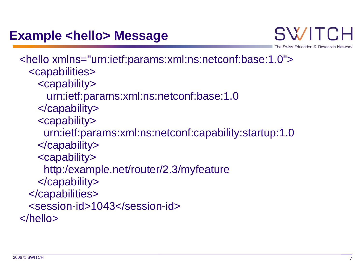wiss Education & Research Ne

<hello xmlns="urn:ietf:params:xml:ns:netconf:base:1.0"> <capabilities> <capability> urn:ietf:params:xml:ns:netconf:base:1.0 </capability> <capability> urn:ietf:params:xml:ns:netconf:capability:startup:1.0 </capability> <capability> http:/example.net/router/2.3/myfeature </capability> </capabilities> <session-id>1043</session-id></hello>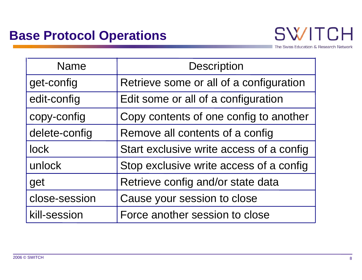

The Swiss Education & Research Network

| <b>Name</b>   | <b>Description</b>                       |
|---------------|------------------------------------------|
| get-config    | Retrieve some or all of a configuration  |
| edit-config   | Edit some or all of a configuration      |
| copy-config   | Copy contents of one config to another   |
| delete-config | Remove all contents of a config          |
| <b>lock</b>   | Start exclusive write access of a config |
| unlock        | Stop exclusive write access of a config  |
| get           | Retrieve config and/or state data        |
| close-session | Cause your session to close              |
| kill-session  | Force another session to close           |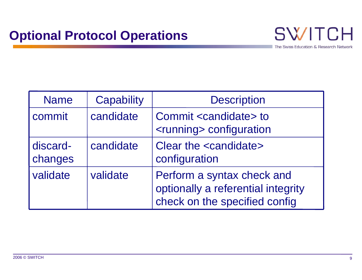

The Swiss Education & Research Network

| <b>Name</b>         | <b>Capability</b> | <b>Description</b>                                                                                |
|---------------------|-------------------|---------------------------------------------------------------------------------------------------|
| commit              | candidate         | Commit <candidate> to<br/><running> configuration</running></candidate>                           |
| discard-<br>changes | candidate         | Clear the <candidate><br/>configuration</candidate>                                               |
| validate            | validate          | Perform a syntax check and<br>optionally a referential integrity<br>check on the specified config |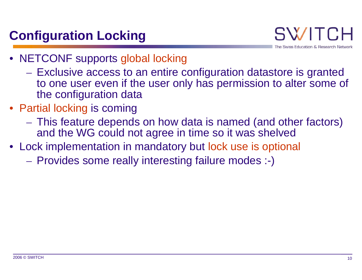# **Configuration Locking**

Swiss Education & Research Network

- NETCONF supports global locking
	- Exclusive access to an entire configuration datastore is granted to one user even if the user only has permission to alter some of the configuration data
- Partial locking is coming
	- This feature depends on how data is named (and other factors) and the WG could not agree in time so it was shelved
- Lock implementation in mandatory but lock use is optional
	- Provides some really interesting failure modes :-)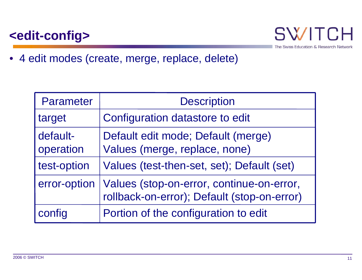#### **<edit-config>**



• 4 edit modes (create, merge, replace, delete)

| <b>Parameter</b>      | <b>Description</b>                                                                       |
|-----------------------|------------------------------------------------------------------------------------------|
| target                | Configuration datastore to edit                                                          |
| default-<br>operation | Default edit mode; Default (merge)<br>Values (merge, replace, none)                      |
| test-option           | Values (test-then-set, set); Default (set)                                               |
| error-option          | Values (stop-on-error, continue-on-error,<br>rollback-on-error); Default (stop-on-error) |
| config                | Portion of the configuration to edit                                                     |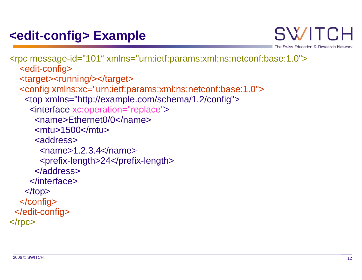## **<edit-config> Example**

<rpc message-id="101" xmlns="urn:ietf:params:xml:ns:netconf:base:1.0"> <edit-config> <target><running/></target> <config xmlns:xc="urn:ietf:params:xml:ns:netconf:base:1.0"> <top xmlns="http://example.com/schema/1.2/config"> <interface xc:operation="replace"> <name>Ethernet0/0</name> <mtu>1500</mtu><address> $<sub>max</sub> < 1.2.3.4 <$  $<sub>max</sub>$ </sub></sub> <prefix-length>24</prefix-length> </address> </interface> $\langle$ top $>$ </config> </edit-config>  $<$  $rpc$ 

**SWITCH** 

Swiss Education & Research Network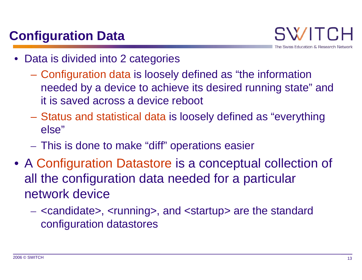## **Configuration Data**

**Swiss Education & Research Ne** 

- • Data is divided into 2 categories
	- – Configuration data is loosely defined as "the information needed by a device to achieve its desired running state" and it is saved across a device reboot
	- Status and statistical data is loosely defined as "everything else"
	- –This is done to make "diff" operations easier
- A Configuration Datastore is a conceptual collection of all the configuration data needed for a particular network device
	- $\mathcal{L}_{\mathcal{A}}$ - <candidate>, <running>, and <startup> are the standard configuration datastores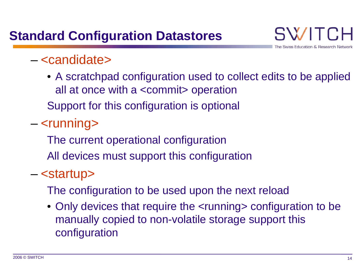#### – <candidate>

• A scratchpad configuration used to collect edits to be applied all at once with a <commit> operation

Support for this configuration is optional

–— <running>

The current operational configuration

All devices must support this configuration

#### –– <startup>

The configuration to be used upon the next reload

• Only devices that require the <running> configuration to be manually copied to non-volatile storage support this configuration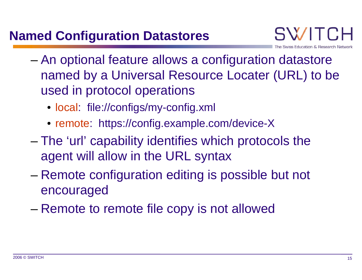#### **Named Configuration Datastores**

- – An optional feature allows a configuration datastore named by a Universal Resource Locater (URL) to be used in protocol operations
	- local: file://configs/my-config.xml
	- remote: https://config.example.com/device-X
- – The 'url' capability identifies which protocols the agent will allow in the URL syntax
- – Remote configuration editing is possible but not encouraged
- –Remote to remote file copy is not allowed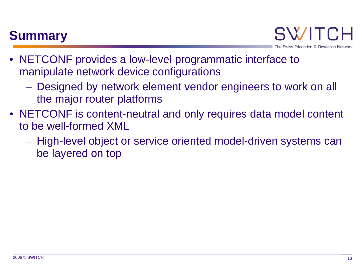#### **Summary**



- NETCONF provides a low-level programmatic interface to manipulate network device configurations
	- Designed by network element vendor engineers to work on all the major router platforms
- NETCONF is content-neutral and only requires data model content to be well-formed XML
	- High-level object or service oriented model-driven systems can be layered on top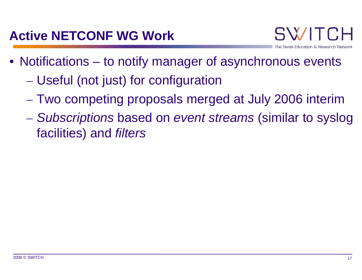- Notifications to notify manager of asynchronous events
	- $\mathcal{L}_{\mathcal{A}}$ Useful (not just) for configuration
	- $\mathcal{L}_{\mathcal{A}}$ Two competing proposals merged at July 2006 interim
	- $\mathcal{L}_{\mathcal{A}}$  *Subscriptions* based on *event streams* (similar to syslog facilities) and *filters*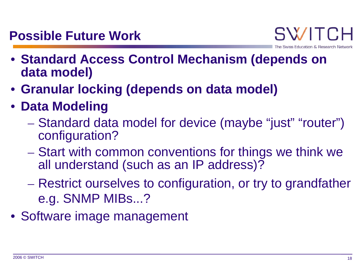- **Standard Access Control Mechanism (depends on data model)**
- **Granular locking (depends on data model)**
- **Data Modeling**
	- Standard data model for device (maybe "just" "router") configuration?
	- Start with common conventions for things we think we all understand (such as an IP address)?
	- Restrict ourselves to configuration, or try to grandfather e.g. SNMP MIBs...?
- Software image management